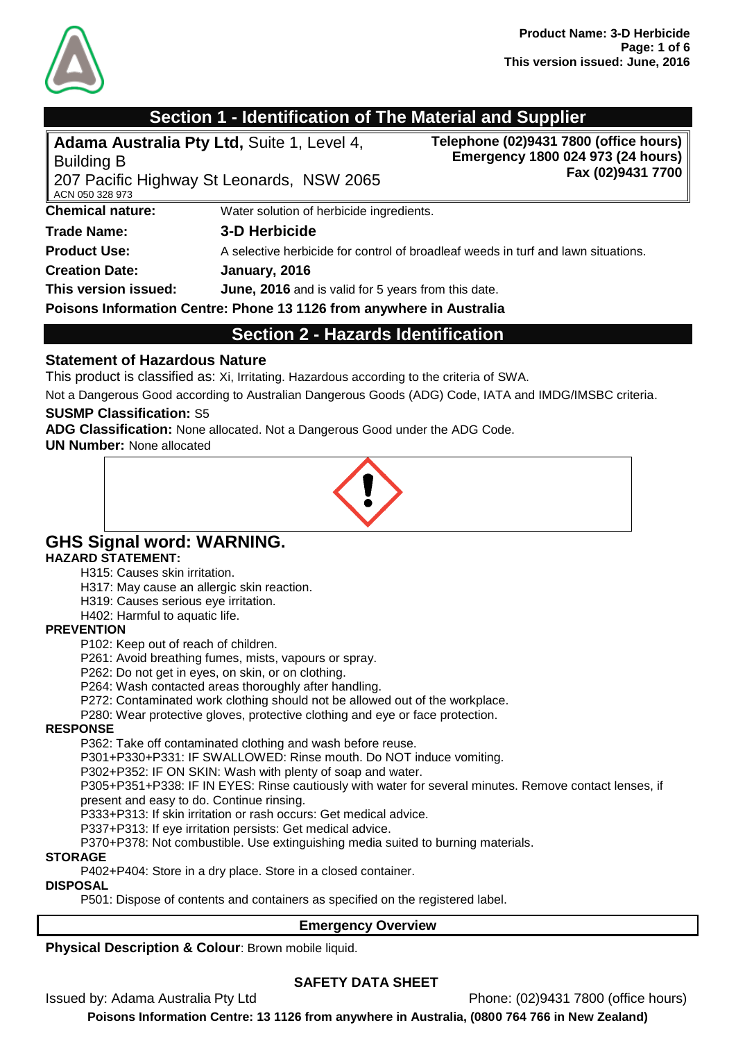

## **Section 1 - Identification of The Material and Supplier**

| Adama Australia Pty Ltd, Suite 1, Level 4,<br><b>Building B</b><br>ACN 050 328 973 | 207 Pacific Highway St Leonards, NSW 2065                            | Telephone (02)9431 7800 (office hours)<br>Emergency 1800 024 973 (24 hours)<br>Fax (02)9431 7700 |
|------------------------------------------------------------------------------------|----------------------------------------------------------------------|--------------------------------------------------------------------------------------------------|
| <b>Chemical nature:</b>                                                            | Water solution of herbicide ingredients.                             |                                                                                                  |
| <b>Trade Name:</b>                                                                 | 3-D Herbicide                                                        |                                                                                                  |
| <b>Product Use:</b>                                                                |                                                                      | A selective herbicide for control of broadleaf weeds in turf and lawn situations.                |
| <b>Creation Date:</b>                                                              | January, 2016                                                        |                                                                                                  |
| This version issued:                                                               | June, 2016 and is valid for 5 years from this date.                  |                                                                                                  |
|                                                                                    | Poisons Information Centre: Phone 13 1126 from anywhere in Australia |                                                                                                  |

## **Section 2 - Hazards Identification**

#### **Statement of Hazardous Nature**

This product is classified as: Xi, Irritating. Hazardous according to the criteria of SWA.

Not a Dangerous Good according to Australian Dangerous Goods (ADG) Code, IATA and IMDG/IMSBC criteria.

#### **SUSMP Classification:** S5

**ADG Classification:** None allocated. Not a Dangerous Good under the ADG Code.

**UN Number:** None allocated



## **GHS Signal word: WARNING.**

#### **HAZARD STATEMENT:**

H315: Causes skin irritation.

H317: May cause an allergic skin reaction.

- H319: Causes serious eye irritation.
- H402: Harmful to aquatic life.

#### **PREVENTION**

P102: Keep out of reach of children.

P261: Avoid breathing fumes, mists, vapours or spray.

P262: Do not get in eyes, on skin, or on clothing.

P264: Wash contacted areas thoroughly after handling.

P272: Contaminated work clothing should not be allowed out of the workplace.

P280: Wear protective gloves, protective clothing and eye or face protection.

#### **RESPONSE**

P362: Take off contaminated clothing and wash before reuse.

P301+P330+P331: IF SWALLOWED: Rinse mouth. Do NOT induce vomiting.

P302+P352: IF ON SKIN: Wash with plenty of soap and water.

P305+P351+P338: IF IN EYES: Rinse cautiously with water for several minutes. Remove contact lenses, if present and easy to do. Continue rinsing.

P333+P313: If skin irritation or rash occurs: Get medical advice.

P337+P313: If eye irritation persists: Get medical advice.

P370+P378: Not combustible. Use extinguishing media suited to burning materials.

#### **STORAGE**

P402+P404: Store in a dry place. Store in a closed container.

#### **DISPOSAL**

P501: Dispose of contents and containers as specified on the registered label.

#### **Emergency Overview**

**Physical Description & Colour: Brown mobile liquid.** 

## **SAFETY DATA SHEET**

Issued by: Adama Australia Pty Ltd Phone: (02)9431 7800 (office hours)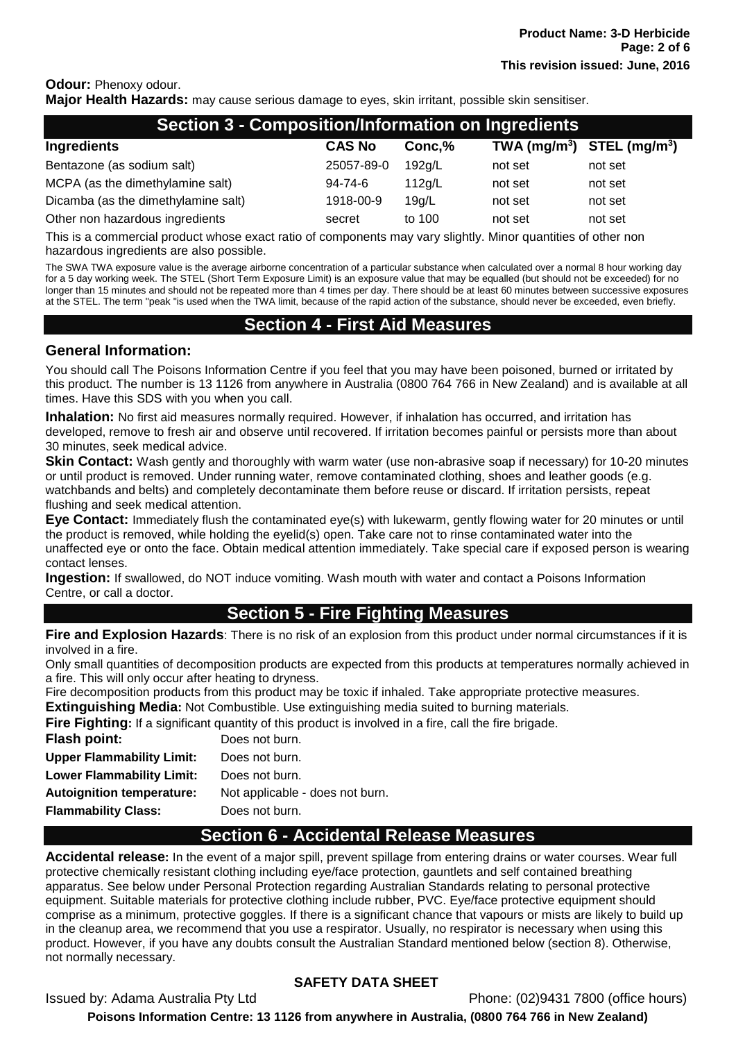## **Odour:** Phenoxy odour.

**Major Health Hazards:** may cause serious damage to eyes, skin irritant, possible skin sensitiser.

| <b>Section 3 - Composition/Information on Ingredients</b> |               |        |                                |         |
|-----------------------------------------------------------|---------------|--------|--------------------------------|---------|
| Ingredients                                               | <b>CAS No</b> | Conc,% | TWA $(mg/m^3)$ STEL $(mg/m^3)$ |         |
| Bentazone (as sodium salt)                                | 25057-89-0    | 192g/L | not set                        | not set |
| MCPA (as the dimethylamine salt)                          | 94-74-6       | 112q/L | not set                        | not set |
| Dicamba (as the dimethylamine salt)                       | 1918-00-9     | 19q/L  | not set                        | not set |
| Other non hazardous ingredients                           | secret        | to 100 | not set                        | not set |

This is a commercial product whose exact ratio of components may vary slightly. Minor quantities of other non hazardous ingredients are also possible.

The SWA TWA exposure value is the average airborne concentration of a particular substance when calculated over a normal 8 hour working day for a 5 day working week. The STEL (Short Term Exposure Limit) is an exposure value that may be equalled (but should not be exceeded) for no longer than 15 minutes and should not be repeated more than 4 times per day. There should be at least 60 minutes between successive exposures at the STEL. The term "peak "is used when the TWA limit, because of the rapid action of the substance, should never be exceeded, even briefly.

## **Section 4 - First Aid Measures**

#### **General Information:**

You should call The Poisons Information Centre if you feel that you may have been poisoned, burned or irritated by this product. The number is 13 1126 from anywhere in Australia (0800 764 766 in New Zealand) and is available at all times. Have this SDS with you when you call.

**Inhalation:** No first aid measures normally required. However, if inhalation has occurred, and irritation has developed, remove to fresh air and observe until recovered. If irritation becomes painful or persists more than about 30 minutes, seek medical advice.

**Skin Contact:** Wash gently and thoroughly with warm water (use non-abrasive soap if necessary) for 10-20 minutes or until product is removed. Under running water, remove contaminated clothing, shoes and leather goods (e.g. watchbands and belts) and completely decontaminate them before reuse or discard. If irritation persists, repeat flushing and seek medical attention.

**Eye Contact:** Immediately flush the contaminated eye(s) with lukewarm, gently flowing water for 20 minutes or until the product is removed, while holding the eyelid(s) open. Take care not to rinse contaminated water into the unaffected eye or onto the face. Obtain medical attention immediately. Take special care if exposed person is wearing contact lenses.

**Ingestion:** If swallowed, do NOT induce vomiting. Wash mouth with water and contact a Poisons Information Centre, or call a doctor.

## **Section 5 - Fire Fighting Measures**

**Fire and Explosion Hazards**: There is no risk of an explosion from this product under normal circumstances if it is involved in a fire.

Only small quantities of decomposition products are expected from this products at temperatures normally achieved in a fire. This will only occur after heating to dryness.

Fire decomposition products from this product may be toxic if inhaled. Take appropriate protective measures. **Extinguishing Media:** Not Combustible. Use extinguishing media suited to burning materials.

**Fire Fighting:** If a significant quantity of this product is involved in a fire, call the fire brigade.

| Flash point:                     | Does not burn.                  |
|----------------------------------|---------------------------------|
| <b>Upper Flammability Limit:</b> | Does not burn.                  |
| <b>Lower Flammability Limit:</b> | Does not burn.                  |
| <b>Autoignition temperature:</b> | Not applicable - does not burn. |
| <b>Flammability Class:</b>       | Does not burn.                  |
|                                  |                                 |

## **Section 6 - Accidental Release Measures**

**Accidental release:** In the event of a major spill, prevent spillage from entering drains or water courses. Wear full protective chemically resistant clothing including eye/face protection, gauntlets and self contained breathing apparatus. See below under Personal Protection regarding Australian Standards relating to personal protective equipment. Suitable materials for protective clothing include rubber, PVC. Eye/face protective equipment should comprise as a minimum, protective goggles. If there is a significant chance that vapours or mists are likely to build up in the cleanup area, we recommend that you use a respirator. Usually, no respirator is necessary when using this product. However, if you have any doubts consult the Australian Standard mentioned below (section 8). Otherwise, not normally necessary.

## **SAFETY DATA SHEET**

Issued by: Adama Australia Pty Ltd Phone: (02)9431 7800 (office hours) **Poisons Information Centre: 13 1126 from anywhere in Australia, (0800 764 766 in New Zealand)**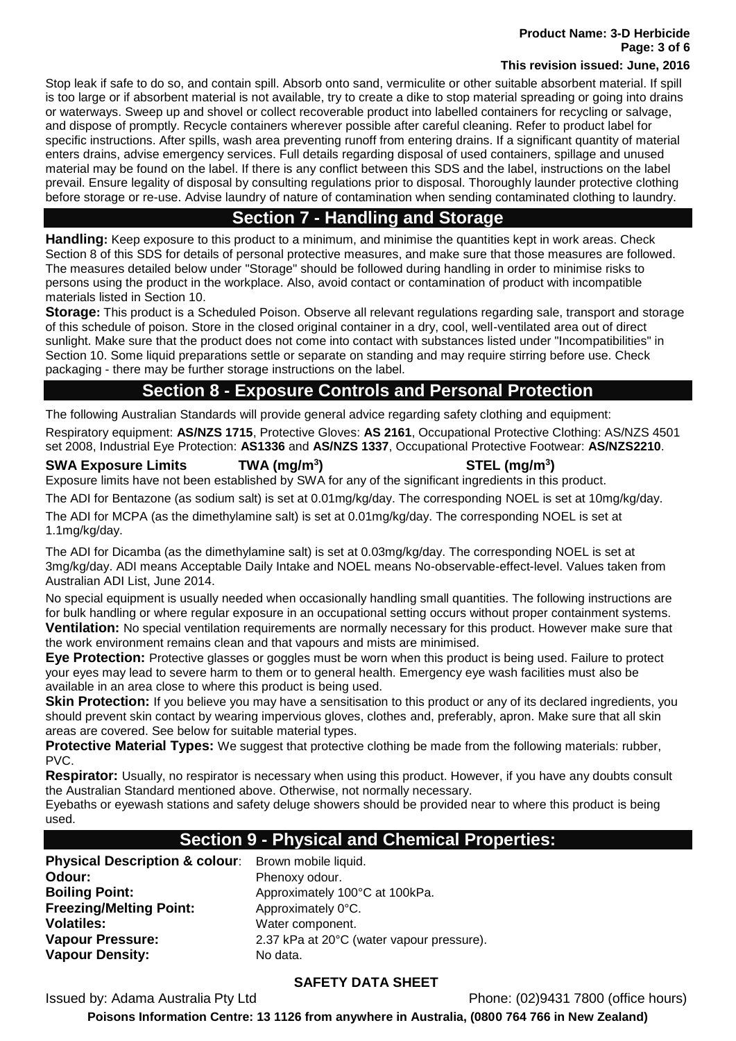**Product Name: 3-D Herbicide Page: 3 of 6**

#### **This revision issued: June, 2016**

Stop leak if safe to do so, and contain spill. Absorb onto sand, vermiculite or other suitable absorbent material. If spill is too large or if absorbent material is not available, try to create a dike to stop material spreading or going into drains or waterways. Sweep up and shovel or collect recoverable product into labelled containers for recycling or salvage, and dispose of promptly. Recycle containers wherever possible after careful cleaning. Refer to product label for specific instructions. After spills, wash area preventing runoff from entering drains. If a significant quantity of material enters drains, advise emergency services. Full details regarding disposal of used containers, spillage and unused material may be found on the label. If there is any conflict between this SDS and the label, instructions on the label prevail. Ensure legality of disposal by consulting regulations prior to disposal. Thoroughly launder protective clothing before storage or re-use. Advise laundry of nature of contamination when sending contaminated clothing to laundry.

## **Section 7 - Handling and Storage**

**Handling:** Keep exposure to this product to a minimum, and minimise the quantities kept in work areas. Check Section 8 of this SDS for details of personal protective measures, and make sure that those measures are followed. The measures detailed below under "Storage" should be followed during handling in order to minimise risks to persons using the product in the workplace. Also, avoid contact or contamination of product with incompatible materials listed in Section 10.

**Storage:** This product is a Scheduled Poison. Observe all relevant regulations regarding sale, transport and storage of this schedule of poison. Store in the closed original container in a dry, cool, well-ventilated area out of direct sunlight. Make sure that the product does not come into contact with substances listed under "Incompatibilities" in Section 10. Some liquid preparations settle or separate on standing and may require stirring before use. Check packaging - there may be further storage instructions on the label.

## **Section 8 - Exposure Controls and Personal Protection**

The following Australian Standards will provide general advice regarding safety clothing and equipment: Respiratory equipment: **AS/NZS 1715**, Protective Gloves: **AS 2161**, Occupational Protective Clothing: AS/NZS 4501 set 2008, Industrial Eye Protection: **AS1336** and **AS/NZS 1337**, Occupational Protective Footwear: **AS/NZS2210**.

#### **SWA Exposure Limits TWA (mg/m<sup>3</sup>**

## **) STEL (mg/m<sup>3</sup> )**

Exposure limits have not been established by SWA for any of the significant ingredients in this product.

The ADI for Bentazone (as sodium salt) is set at 0.01mg/kg/day. The corresponding NOEL is set at 10mg/kg/day.

The ADI for MCPA (as the dimethylamine salt) is set at 0.01mg/kg/day. The corresponding NOEL is set at 1.1mg/kg/day.

The ADI for Dicamba (as the dimethylamine salt) is set at 0.03mg/kg/day. The corresponding NOEL is set at 3mg/kg/day. ADI means Acceptable Daily Intake and NOEL means No-observable-effect-level. Values taken from Australian ADI List, June 2014.

No special equipment is usually needed when occasionally handling small quantities. The following instructions are for bulk handling or where regular exposure in an occupational setting occurs without proper containment systems. **Ventilation:** No special ventilation requirements are normally necessary for this product. However make sure that the work environment remains clean and that vapours and mists are minimised.

**Eye Protection:** Protective glasses or goggles must be worn when this product is being used. Failure to protect your eyes may lead to severe harm to them or to general health. Emergency eye wash facilities must also be available in an area close to where this product is being used.

**Skin Protection:** If you believe you may have a sensitisation to this product or any of its declared ingredients, you should prevent skin contact by wearing impervious gloves, clothes and, preferably, apron. Make sure that all skin areas are covered. See below for suitable material types.

**Protective Material Types:** We suggest that protective clothing be made from the following materials: rubber, PVC.

**Respirator:** Usually, no respirator is necessary when using this product. However, if you have any doubts consult the Australian Standard mentioned above. Otherwise, not normally necessary.

Eyebaths or eyewash stations and safety deluge showers should be provided near to where this product is being used.

## **Section 9 - Physical and Chemical Properties:**

**Physical Description & colour:** Brown mobile liquid. **Odour:** Phenoxy odour. **Freezing/Melting Point:** Approximately 0°C. **Volatiles:** Water component. **Vapour Density:** No data.

**Boiling Point: Approximately 100°C at 100kPa. Vapour Pressure:** 2.37 kPa at 20°C (water vapour pressure).

## **SAFETY DATA SHEET**

Issued by: Adama Australia Pty Ltd Phone: (02)9431 7800 (office hours)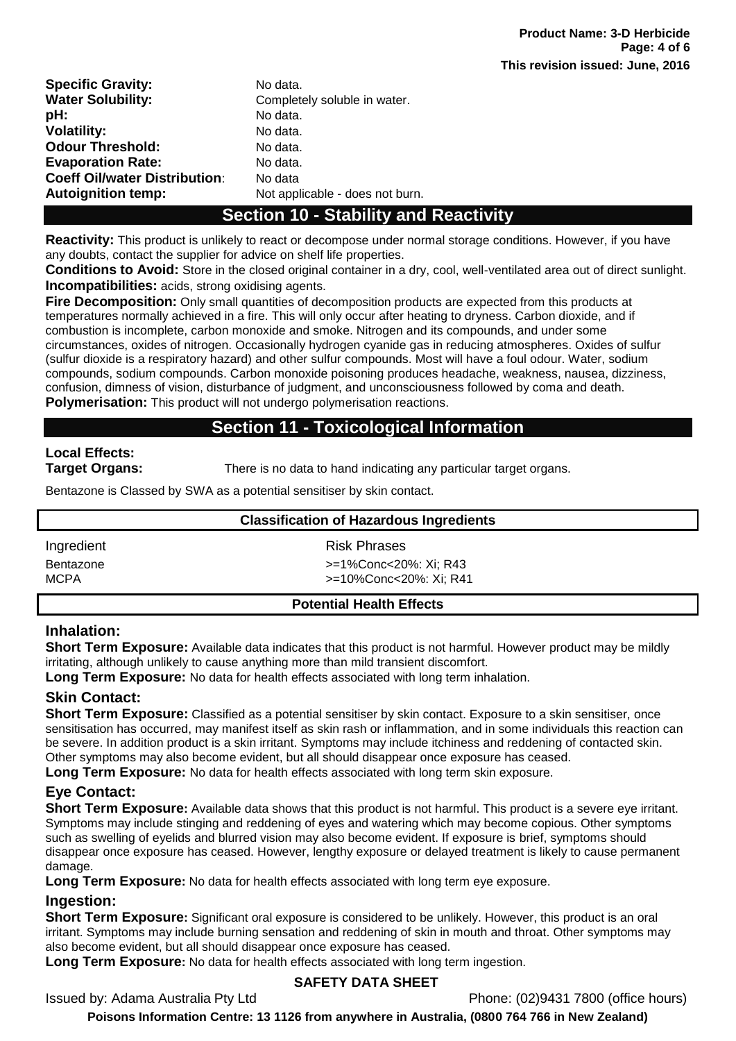| <b>Specific Gravity:</b>             | No data.                        |
|--------------------------------------|---------------------------------|
| <b>Water Solubility:</b>             | Completely soluble in water.    |
| pH:                                  | No data.                        |
| <b>Volatility:</b>                   | No data.                        |
| <b>Odour Threshold:</b>              | No data.                        |
| <b>Evaporation Rate:</b>             | No data.                        |
| <b>Coeff Oil/water Distribution:</b> | No data                         |
| <b>Autoignition temp:</b>            | Not applicable - does not burn. |

## **Section 10 - Stability and Reactivity**

**Reactivity:** This product is unlikely to react or decompose under normal storage conditions. However, if you have any doubts, contact the supplier for advice on shelf life properties.

**Conditions to Avoid:** Store in the closed original container in a dry, cool, well-ventilated area out of direct sunlight. **Incompatibilities:** acids, strong oxidising agents.

**Fire Decomposition:** Only small quantities of decomposition products are expected from this products at temperatures normally achieved in a fire. This will only occur after heating to dryness. Carbon dioxide, and if combustion is incomplete, carbon monoxide and smoke. Nitrogen and its compounds, and under some circumstances, oxides of nitrogen. Occasionally hydrogen cyanide gas in reducing atmospheres. Oxides of sulfur (sulfur dioxide is a respiratory hazard) and other sulfur compounds. Most will have a foul odour. Water, sodium compounds, sodium compounds. Carbon monoxide poisoning produces headache, weakness, nausea, dizziness, confusion, dimness of vision, disturbance of judgment, and unconsciousness followed by coma and death. **Polymerisation:** This product will not undergo polymerisation reactions.

## **Section 11 - Toxicological Information**

# **Local Effects:**

**Target Organs:** There is no data to hand indicating any particular target organs.

Bentazone is Classed by SWA as a potential sensitiser by skin contact.

| <b>Classification of Hazardous Ingredients</b> |                        |  |
|------------------------------------------------|------------------------|--|
| Ingredient                                     | <b>Risk Phrases</b>    |  |
| Bentazone                                      | >=1%Conc<20%: Xi; R43  |  |
| MCPA                                           | >=10%Conc<20%: Xi; R41 |  |
|                                                | ____                   |  |

#### **Potential Health Effects**

## **Inhalation:**

**Short Term Exposure:** Available data indicates that this product is not harmful. However product may be mildly irritating, although unlikely to cause anything more than mild transient discomfort.

**Long Term Exposure:** No data for health effects associated with long term inhalation.

## **Skin Contact:**

**Short Term Exposure:** Classified as a potential sensitiser by skin contact. Exposure to a skin sensitiser, once sensitisation has occurred, may manifest itself as skin rash or inflammation, and in some individuals this reaction can be severe. In addition product is a skin irritant. Symptoms may include itchiness and reddening of contacted skin. Other symptoms may also become evident, but all should disappear once exposure has ceased.

**Long Term Exposure:** No data for health effects associated with long term skin exposure.

## **Eye Contact:**

**Short Term Exposure:** Available data shows that this product is not harmful. This product is a severe eye irritant. Symptoms may include stinging and reddening of eyes and watering which may become copious. Other symptoms such as swelling of eyelids and blurred vision may also become evident. If exposure is brief, symptoms should disappear once exposure has ceased. However, lengthy exposure or delayed treatment is likely to cause permanent damage.

**Long Term Exposure:** No data for health effects associated with long term eye exposure.

## **Ingestion:**

**Short Term Exposure:** Significant oral exposure is considered to be unlikely. However, this product is an oral irritant. Symptoms may include burning sensation and reddening of skin in mouth and throat. Other symptoms may also become evident, but all should disappear once exposure has ceased.

**Long Term Exposure:** No data for health effects associated with long term ingestion.

## **SAFETY DATA SHEET**

Issued by: Adama Australia Pty Ltd Phone: (02)9431 7800 (office hours)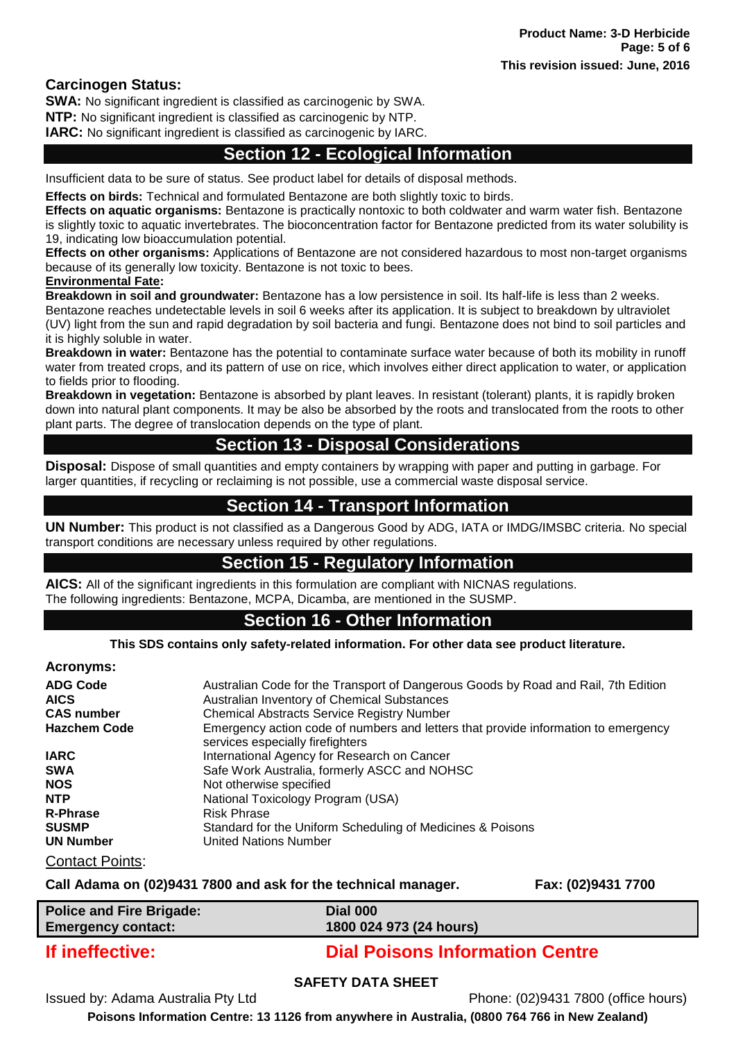## **Carcinogen Status:**

**SWA:** No significant ingredient is classified as carcinogenic by SWA.

**NTP:** No significant ingredient is classified as carcinogenic by NTP.

**IARC:** No significant ingredient is classified as carcinogenic by IARC.

## **Section 12 - Ecological Information**

Insufficient data to be sure of status. See product label for details of disposal methods.

**Effects on birds:** Technical and formulated Bentazone are both slightly toxic to birds.

**Effects on aquatic organisms:** Bentazone is practically nontoxic to both coldwater and warm water fish. Bentazone is slightly toxic to aquatic invertebrates. The bioconcentration factor for Bentazone predicted from its water solubility is 19, indicating low bioaccumulation potential.

**Effects on other organisms:** Applications of Bentazone are not considered hazardous to most non-target organisms because of its generally low toxicity. Bentazone is not toxic to bees. **Environmental Fate:** 

**Breakdown in soil and groundwater:** Bentazone has a low persistence in soil. Its half-life is less than 2 weeks. Bentazone reaches undetectable levels in soil 6 weeks after its application. It is subject to breakdown by ultraviolet (UV) light from the sun and rapid degradation by soil bacteria and fungi. Bentazone does not bind to soil particles and it is highly soluble in water.

**Breakdown in water:** Bentazone has the potential to contaminate surface water because of both its mobility in runoff water from treated crops, and its pattern of use on rice, which involves either direct application to water, or application to fields prior to flooding.

**Breakdown in vegetation:** Bentazone is absorbed by plant leaves. In resistant (tolerant) plants, it is rapidly broken down into natural plant components. It may be also be absorbed by the roots and translocated from the roots to other plant parts. The degree of translocation depends on the type of plant.

## **Section 13 - Disposal Considerations**

**Disposal:** Dispose of small quantities and empty containers by wrapping with paper and putting in garbage. For larger quantities, if recycling or reclaiming is not possible, use a commercial waste disposal service.

## **Section 14 - Transport Information**

**UN Number:** This product is not classified as a Dangerous Good by ADG, IATA or IMDG/IMSBC criteria. No special transport conditions are necessary unless required by other regulations.

## **Section 15 - Regulatory Information**

**AICS:** All of the significant ingredients in this formulation are compliant with NICNAS regulations. The following ingredients: Bentazone, MCPA, Dicamba, are mentioned in the SUSMP.

## **Section 16 - Other Information**

**This SDS contains only safety-related information. For other data see product literature.**

#### **Acronyms:**

| <b>ADG Code</b>        | Australian Code for the Transport of Dangerous Goods by Road and Rail, 7th Edition                                     |
|------------------------|------------------------------------------------------------------------------------------------------------------------|
| <b>AICS</b>            | Australian Inventory of Chemical Substances                                                                            |
| <b>CAS number</b>      | <b>Chemical Abstracts Service Registry Number</b>                                                                      |
| <b>Hazchem Code</b>    | Emergency action code of numbers and letters that provide information to emergency<br>services especially firefighters |
| <b>IARC</b>            | International Agency for Research on Cancer                                                                            |
| <b>SWA</b>             | Safe Work Australia, formerly ASCC and NOHSC                                                                           |
| <b>NOS</b>             | Not otherwise specified                                                                                                |
| <b>NTP</b>             | National Toxicology Program (USA)                                                                                      |
| <b>R-Phrase</b>        | <b>Risk Phrase</b>                                                                                                     |
| <b>SUSMP</b>           | Standard for the Uniform Scheduling of Medicines & Poisons                                                             |
| <b>UN Number</b>       | United Nations Number                                                                                                  |
| <b>Contact Points:</b> |                                                                                                                        |

#### **Call Adama on (02)9431 7800 and ask for the technical manager. Fax: (02)9431 7700**

| <b>Police and Fire Brigade:</b> | <b>Dial 000</b>         |
|---------------------------------|-------------------------|
| <b>Emergency contact:</b>       | 1800 024 973 (24 hours) |
|                                 |                         |

## **If ineffective: Dial Poisons Information Centre**

## **SAFETY DATA SHEET**

Issued by: Adama Australia Pty Ltd Phone: (02)9431 7800 (office hours)